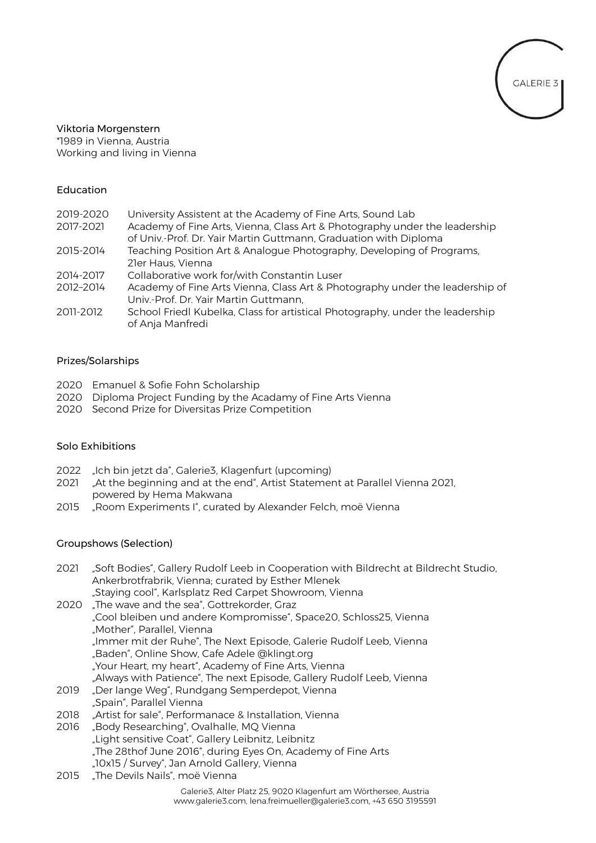

### Viktoria Morgenstern \*1989 in Vienna, Austria Working and living in Vienna

#### Education

| 2019-2020 | University Assistent at the Academy of Fine Arts, Sound Lab                   |
|-----------|-------------------------------------------------------------------------------|
| 2017-2021 | Academy of Fine Arts, Vienna, Class Art & Photography under the leadership    |
|           | of Univ.-Prof. Dr. Yair Martin Guttmann, Graduation with Diploma              |
| 2015-2014 | Teaching Position Art & Analogue Photography, Developing of Programs,         |
|           | 21er Haus, Vienna                                                             |
| 2014-2017 | Collaborative work for/with Constantin Luser                                  |
| 2012-2014 | Academy of Fine Arts Vienna, Class Art & Photography under the leadership of  |
|           | Univ.-Prof. Dr. Yair Martin Guttmann,                                         |
| 2011-2012 | School Friedl Kubelka, Class for artistical Photography, under the leadership |
|           | of Anja Manfredi                                                              |

## Prizes/Solarships

- 2020 Emanuel & Sofie Fohn Scholarship
- 2020 Diploma Project Funding by the Acadamy of Fine Arts Vienna
- 2020 Second Prize for Diversitas Prize Competition

# Solo Exhibitions

- 2022 "Ich bin jetzt da", Galerie3, Klagenfurt (upcoming)
- 2021 "At the beginning and at the end", Artist Statement at Parallel Vienna 2021, powered by Hema Makwana
- 2015 "Room Experiments I", curated by Alexander Felch, moë Vienna

## Groupshows (Selection)

- 2021 "Soft Bodies", Gallery Rudolf Leeb in Cooperation with Bildrecht at Bildrecht Studio, Ankerbrotfrabrik, Vienna; curated by Esther Mlenek "Staying cool", Karlsplatz Red Carpet Showroom, Vienna
- 2020 "The wave and the sea", Gottrekorder, Graz "Cool bleiben und andere Kompromisse", Space20, Schloss25, Vienna "Mother", Parallel, Vienna "Immer mit der Ruhe", The Next Episode, Galerie Rudolf Leeb, Vienna "Baden", Online Show, Cafe Adele @klingt.org "Your Heart, my heart", Academy of Fine Arts, Vienna "Always with Patience", The next Episode, Gallery Rudolf Leeb, Vienna
- 2019 "Der lange Weg", Rundgang Semperdepot, Vienna "Spain", Parallel Vienna
- 2018 "Artist for sale", Performanace & Installation, Vienna
- 2016 "Body Researching", Ovalhalle, MQ Vienna "Light sensitive Coat", Gallery Leibnitz, Leibnitz "The 28thof June 2016", during Eyes On, Academy of Fine Arts "10x15 / Survey", Jan Arnold Gallery, Vienna
- 2015 "The Devils Nails", moë Vienna